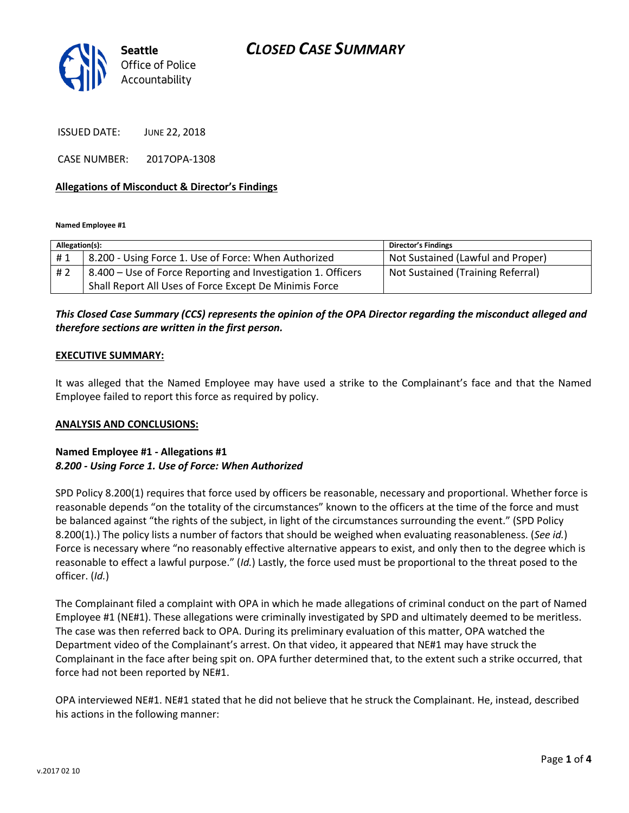

ISSUED DATE: JUNE 22, 2018

CASE NUMBER: 2017OPA-1308

### **Allegations of Misconduct & Director's Findings**

**Named Employee #1**

| Allegation(s): |                                                              | <b>Director's Findings</b>        |
|----------------|--------------------------------------------------------------|-----------------------------------|
| #1             | 8.200 - Using Force 1. Use of Force: When Authorized         | Not Sustained (Lawful and Proper) |
| # 2            | 8.400 – Use of Force Reporting and Investigation 1. Officers | Not Sustained (Training Referral) |
|                | Shall Report All Uses of Force Except De Minimis Force       |                                   |

## *This Closed Case Summary (CCS) represents the opinion of the OPA Director regarding the misconduct alleged and therefore sections are written in the first person.*

#### **EXECUTIVE SUMMARY:**

It was alleged that the Named Employee may have used a strike to the Complainant's face and that the Named Employee failed to report this force as required by policy.

#### **ANALYSIS AND CONCLUSIONS:**

### **Named Employee #1 - Allegations #1** *8.200 - Using Force 1. Use of Force: When Authorized*

SPD Policy 8.200(1) requires that force used by officers be reasonable, necessary and proportional. Whether force is reasonable depends "on the totality of the circumstances" known to the officers at the time of the force and must be balanced against "the rights of the subject, in light of the circumstances surrounding the event." (SPD Policy 8.200(1).) The policy lists a number of factors that should be weighed when evaluating reasonableness. (*See id.*) Force is necessary where "no reasonably effective alternative appears to exist, and only then to the degree which is reasonable to effect a lawful purpose." (*Id.*) Lastly, the force used must be proportional to the threat posed to the officer. (*Id.*)

The Complainant filed a complaint with OPA in which he made allegations of criminal conduct on the part of Named Employee #1 (NE#1). These allegations were criminally investigated by SPD and ultimately deemed to be meritless. The case was then referred back to OPA. During its preliminary evaluation of this matter, OPA watched the Department video of the Complainant's arrest. On that video, it appeared that NE#1 may have struck the Complainant in the face after being spit on. OPA further determined that, to the extent such a strike occurred, that force had not been reported by NE#1.

OPA interviewed NE#1. NE#1 stated that he did not believe that he struck the Complainant. He, instead, described his actions in the following manner: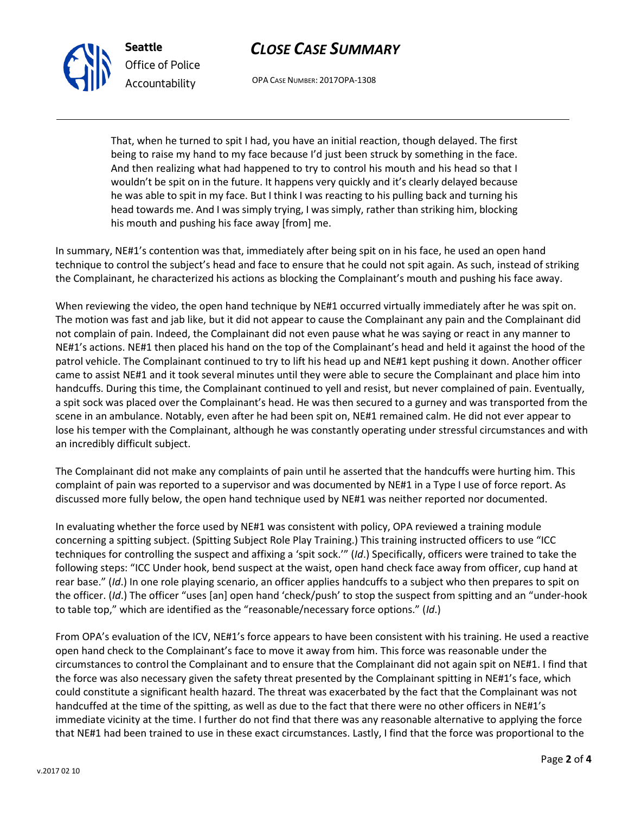



OPA CASE NUMBER: 2017OPA-1308

That, when he turned to spit I had, you have an initial reaction, though delayed. The first being to raise my hand to my face because I'd just been struck by something in the face. And then realizing what had happened to try to control his mouth and his head so that I wouldn't be spit on in the future. It happens very quickly and it's clearly delayed because he was able to spit in my face. But I think I was reacting to his pulling back and turning his head towards me. And I was simply trying, I was simply, rather than striking him, blocking his mouth and pushing his face away [from] me.

In summary, NE#1's contention was that, immediately after being spit on in his face, he used an open hand technique to control the subject's head and face to ensure that he could not spit again. As such, instead of striking the Complainant, he characterized his actions as blocking the Complainant's mouth and pushing his face away.

When reviewing the video, the open hand technique by NE#1 occurred virtually immediately after he was spit on. The motion was fast and jab like, but it did not appear to cause the Complainant any pain and the Complainant did not complain of pain. Indeed, the Complainant did not even pause what he was saying or react in any manner to NE#1's actions. NE#1 then placed his hand on the top of the Complainant's head and held it against the hood of the patrol vehicle. The Complainant continued to try to lift his head up and NE#1 kept pushing it down. Another officer came to assist NE#1 and it took several minutes until they were able to secure the Complainant and place him into handcuffs. During this time, the Complainant continued to yell and resist, but never complained of pain. Eventually, a spit sock was placed over the Complainant's head. He was then secured to a gurney and was transported from the scene in an ambulance. Notably, even after he had been spit on, NE#1 remained calm. He did not ever appear to lose his temper with the Complainant, although he was constantly operating under stressful circumstances and with an incredibly difficult subject.

The Complainant did not make any complaints of pain until he asserted that the handcuffs were hurting him. This complaint of pain was reported to a supervisor and was documented by NE#1 in a Type I use of force report. As discussed more fully below, the open hand technique used by NE#1 was neither reported nor documented.

In evaluating whether the force used by NE#1 was consistent with policy, OPA reviewed a training module concerning a spitting subject. (Spitting Subject Role Play Training.) This training instructed officers to use "ICC techniques for controlling the suspect and affixing a 'spit sock.'" (*Id*.) Specifically, officers were trained to take the following steps: "ICC Under hook, bend suspect at the waist, open hand check face away from officer, cup hand at rear base." (*Id*.) In one role playing scenario, an officer applies handcuffs to a subject who then prepares to spit on the officer. (*Id*.) The officer "uses [an] open hand 'check/push' to stop the suspect from spitting and an "under-hook to table top," which are identified as the "reasonable/necessary force options." (*Id*.)

From OPA's evaluation of the ICV, NE#1's force appears to have been consistent with his training. He used a reactive open hand check to the Complainant's face to move it away from him. This force was reasonable under the circumstances to control the Complainant and to ensure that the Complainant did not again spit on NE#1. I find that the force was also necessary given the safety threat presented by the Complainant spitting in NE#1's face, which could constitute a significant health hazard. The threat was exacerbated by the fact that the Complainant was not handcuffed at the time of the spitting, as well as due to the fact that there were no other officers in NE#1's immediate vicinity at the time. I further do not find that there was any reasonable alternative to applying the force that NE#1 had been trained to use in these exact circumstances. Lastly, I find that the force was proportional to the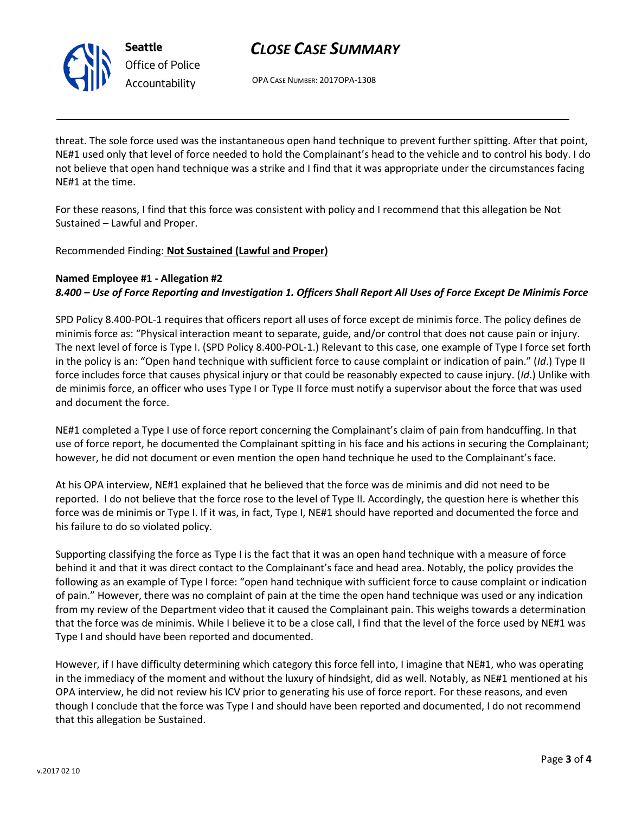

# *CLOSE CASE SUMMARY*

OPA CASE NUMBER: 2017OPA-1308

threat. The sole force used was the instantaneous open hand technique to prevent further spitting. After that point, NE#1 used only that level of force needed to hold the Complainant's head to the vehicle and to control his body. I do not believe that open hand technique was a strike and I find that it was appropriate under the circumstances facing NE#1 at the time.

For these reasons, I find that this force was consistent with policy and I recommend that this allegation be Not Sustained – Lawful and Proper.

Recommended Finding: **Not Sustained (Lawful and Proper)**

## **Named Employee #1 - Allegation #2**

## *8.400 – Use of Force Reporting and Investigation 1. Officers Shall Report All Uses of Force Except De Minimis Force*

SPD Policy 8.400-POL-1 requires that officers report all uses of force except de minimis force. The policy defines de minimis force as: "Physical interaction meant to separate, guide, and/or control that does not cause pain or injury. The next level of force is Type I. (SPD Policy 8.400-POL-1.) Relevant to this case, one example of Type I force set forth in the policy is an: "Open hand technique with sufficient force to cause complaint or indication of pain." (*Id*.) Type II force includes force that causes physical injury or that could be reasonably expected to cause injury. (*Id*.) Unlike with de minimis force, an officer who uses Type I or Type II force must notify a supervisor about the force that was used and document the force.

NE#1 completed a Type I use of force report concerning the Complainant's claim of pain from handcuffing. In that use of force report, he documented the Complainant spitting in his face and his actions in securing the Complainant; however, he did not document or even mention the open hand technique he used to the Complainant's face.

At his OPA interview, NE#1 explained that he believed that the force was de minimis and did not need to be reported. I do not believe that the force rose to the level of Type II. Accordingly, the question here is whether this force was de minimis or Type I. If it was, in fact, Type I, NE#1 should have reported and documented the force and his failure to do so violated policy.

Supporting classifying the force as Type I is the fact that it was an open hand technique with a measure of force behind it and that it was direct contact to the Complainant's face and head area. Notably, the policy provides the following as an example of Type I force: "open hand technique with sufficient force to cause complaint or indication of pain." However, there was no complaint of pain at the time the open hand technique was used or any indication from my review of the Department video that it caused the Complainant pain. This weighs towards a determination that the force was de minimis. While I believe it to be a close call, I find that the level of the force used by NE#1 was Type I and should have been reported and documented.

However, if I have difficulty determining which category this force fell into, I imagine that NE#1, who was operating in the immediacy of the moment and without the luxury of hindsight, did as well. Notably, as NE#1 mentioned at his OPA interview, he did not review his ICV prior to generating his use of force report. For these reasons, and even though I conclude that the force was Type I and should have been reported and documented, I do not recommend that this allegation be Sustained.